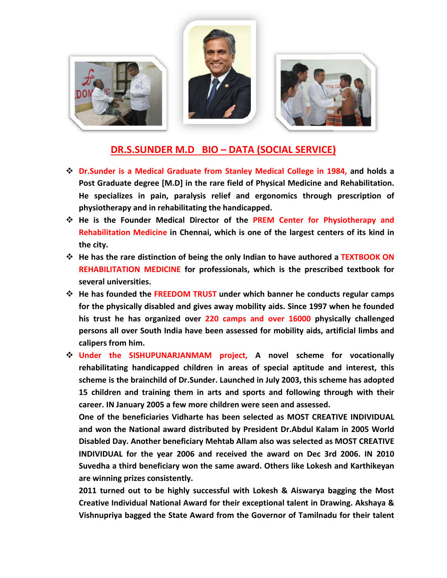

## **DR.S.SUNDER M.D BIO – DATA (SOCIAL SERVICE)**

- **↑ Dr.Sunder is a Medical Graduate from Stanley Medical College in 1984, and holds a** Post Graduate degree [M.D] in the rare field of Physical Medicine and Rehabilitation.<br>He specializes in pain, paralysis relief and ergonomics through prescription of **He specializes in pain, paralysis physiotherapy and in rehabilitating the handicapped.** M.D] in the rare field of Physical Medicine and Rehabilitation.<br>
1, paralysis relief and ergonomics through prescription of<br>
habilitating the handicapped.<br>
edical Director of the PREM Center for Physiotherapy and<br>
2 in Che
- **He is the Founder Medical Director of the PREM Center for Physiotherapy and Rehabilitation Medicine in Chennai, which is one of the largest centers of its ki the city.**
- **<sup>** $\triangle$ **</sup>** He has the rare distinction of being the only Indian to have authored a TEXTBOOK ON **REHABILITATION MEDICINE for professionals, which is the prescribed textbook for several universities.**
- **He has founded the FREEDOM TRUST under which banner he conducts regular camps for the physically disabled and gives away mobility aids. Since 1997 when he founded**  his trust he has organized over 220 camps and over 16000 physically challenged **persons all over South India have been assessed for mobility aids, a artificial limbs and calipers from him. <u>DR.S.SUNDER M.D BIO – DATA (SOCIAL SERVICE)</u><br>
der is a Medical Graduate from Stanley Medical College in 1984, and holds a<br>
raduate degree [M.D] in the rare field of Physical Medicine and Rehabilitation.<br>
cecializes in pa**
- **Under the SISHUPUNARJANMAM project, A novel scheme for vocationally rehabilitating handicapped children in areas of special aptitude and interest, this scheme is the brainchild of Dr.Sunder. Launched in July 2003, thi this scheme has adopted 15 children and training them in arts and sports and following through with their career. IN January 2005 a few more children were seen and assessed.**

**One of the beneficiaries Vidharte has been selected as MOST CREATIVE INDIVIDUAL and won the National award distributed by President Dr.Abdul Kalam in 2005 World Disabled Day. Another beneficiary Mehtab Allam also was selected as MOST CREATIVE INDIVIDUAL for the year 2006 and received the award on Dec 3rd 2006. IN 2010 Suvedha a third beneficiary won the same award. Others like Lokesh and Karthikeyan are winning prizes consistently.** LITATION MEDICINE for professionals, which is the prescribed textbook for universities.<br>
Universities.<br>
The individed the FREEDOM TRUST under which banner he conducts regular camps<br>
founded the FREEDOM TRUST under which ba

**2011 turned out to be highly successful with Lokesh & Aiswarya bagging the Most Creative Individual National Award for their exceptional talent in Drawing. Aksha** Vishnupriya bagged the State Award from the Governor of Tamilnadu for their talent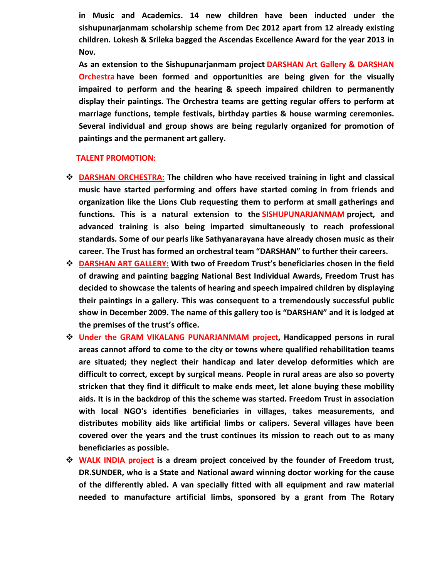**in Music and Academics. 14 new children have been inducted under the sishupunarjanmam scholarship scheme from Dec 2012 apart from 12 already existing children. Lokesh & Srileka bagged the Ascendas Excellence Award for the year 2013 in Nov.**

**As an extension to the Sishupunarjanmam project DARSHAN Art Gallery & DARSHAN Orchestra have been formed and opportunities are being given for the visually impaired to perform and the hearing & speech impaired children to permanently display their paintings. The Orchestra teams are getting regular offers to perform at marriage functions, temple festivals, birthday parties & house warming ceremonies. Several individual and group shows are being regularly organized for promotion of paintings and the permanent art gallery.**

## **TALENT PROMOTION:**

- **DARSHAN ORCHESTRA: The children who have received training in light and classical music have started performing and offers have started coming in from friends and organization like the Lions Club requesting them to perform at small gatherings and functions. This is a natural extension to the SISHUPUNARJANMAM project, and advanced training is also being imparted simultaneously to reach professional standards. Some of our pearls like Sathyanarayana have already chosen music as their career. The Trust has formed an orchestral team "DARSHAN" to further their careers.**
- **DARSHAN ART GALLERY: With two of Freedom Trust's beneficiaries chosen in the field of drawing and painting bagging National Best Individual Awards, Freedom Trust has decided to showcase the talents of hearing and speech impaired children by displaying their paintings in a gallery. This was consequent to a tremendously successful public show in December 2009. The name of this gallery too is "DARSHAN" and it is lodged at the premises of the trust's office.**
- **Under the GRAM VIKALANG PUNARJANMAM project, Handicapped persons in rural areas cannot afford to come to the city or towns where qualified rehabilitation teams are situated; they neglect their handicap and later develop deformities which are difficult to correct, except by surgical means. People in rural areas are also so poverty stricken that they find it difficult to make ends meet, let alone buying these mobility aids. It is in the backdrop of this the scheme was started. Freedom Trust in association with local NGO's identifies beneficiaries in villages, takes measurements, and distributes mobility aids like artificial limbs or calipers. Several villages have been covered over the years and the trust continues its mission to reach out to as many beneficiaries as possible.**
- **WALK INDIA project is a dream project conceived by the founder of Freedom trust, DR.SUNDER, who is a State and National award winning doctor working for the cause of the differently abled. A van specially fitted with all equipment and raw material needed to manufacture artificial limbs, sponsored by a grant from The Rotary**